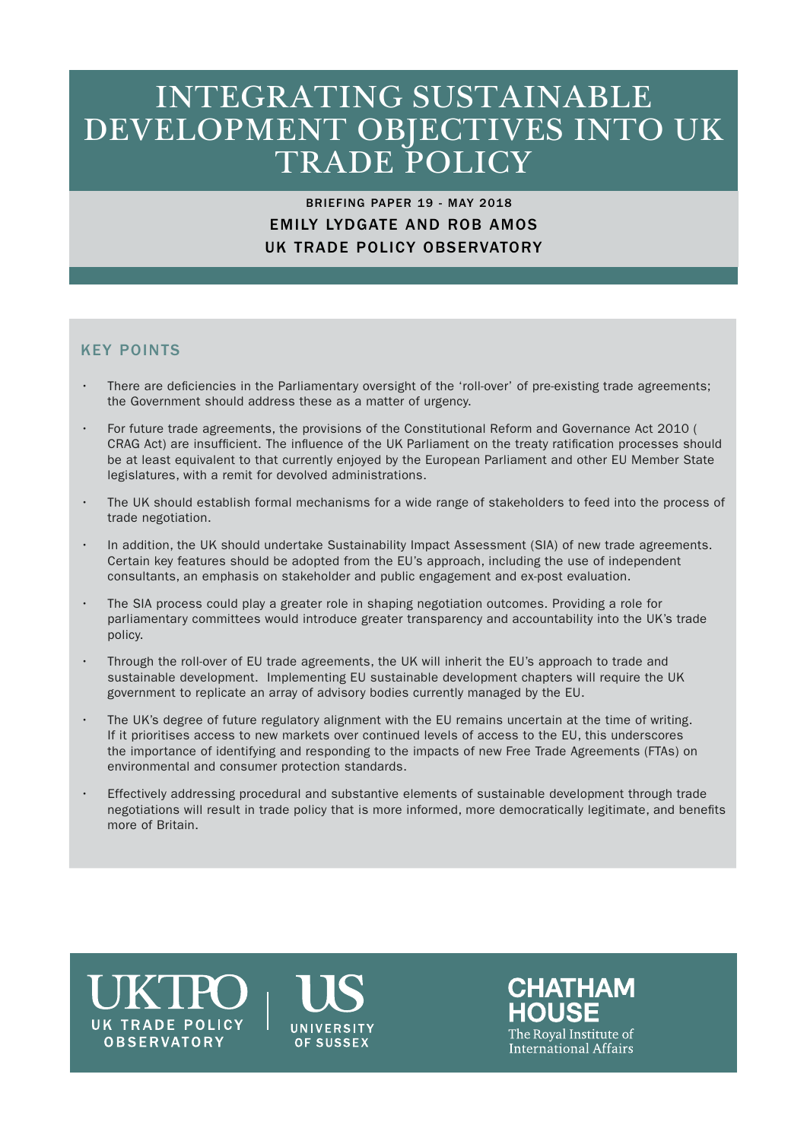## INTEGRATING SUSTAINABLE DEVELOPMENT OBJECTIVES INTO UK TRADE POLICY

## BRIEFING PAPER 19 - MAY 2018 EMILY LYDGATE AND ROB AMOS UK TRADE POLICY OBSERVATORY

## KEY POINTS

- There are deficiencies in the Parliamentary oversight of the 'roll-over' of pre-existing trade agreements; the Government should address these as a matter of urgency.
- For future trade agreements, the provisions of the Constitutional Reform and Governance Act 2010 ( CRAG Act) are insufficient. The influence of the UK Parliament on the treaty ratification processes should be at least equivalent to that currently enjoyed by the European Parliament and other EU Member State legislatures, with a remit for devolved administrations.
- The UK should establish formal mechanisms for a wide range of stakeholders to feed into the process of trade negotiation.
- In addition, the UK should undertake Sustainability Impact Assessment (SIA) of new trade agreements. Certain key features should be adopted from the EU's approach, including the use of independent consultants, an emphasis on stakeholder and public engagement and ex-post evaluation.
- The SIA process could play a greater role in shaping negotiation outcomes. Providing a role for parliamentary committees would introduce greater transparency and accountability into the UK's trade policy.
- Through the roll-over of EU trade agreements, the UK will inherit the EU's approach to trade and sustainable development. Implementing EU sustainable development chapters will require the UK government to replicate an array of advisory bodies currently managed by the EU.
- The UK's degree of future regulatory alignment with the EU remains uncertain at the time of writing. If it prioritises access to new markets over continued levels of access to the EU, this underscores the importance of identifying and responding to the impacts of new Free Trade Agreements (FTAs) on environmental and consumer protection standards.
- Effectively addressing procedural and substantive elements of sustainable development through trade negotiations will result in trade policy that is more informed, more democratically legitimate, and benefits more of Britain.

# **UK TRADE POLICY OBSERVATORY**



**CHATHAM** The Roval Institute of International Affairs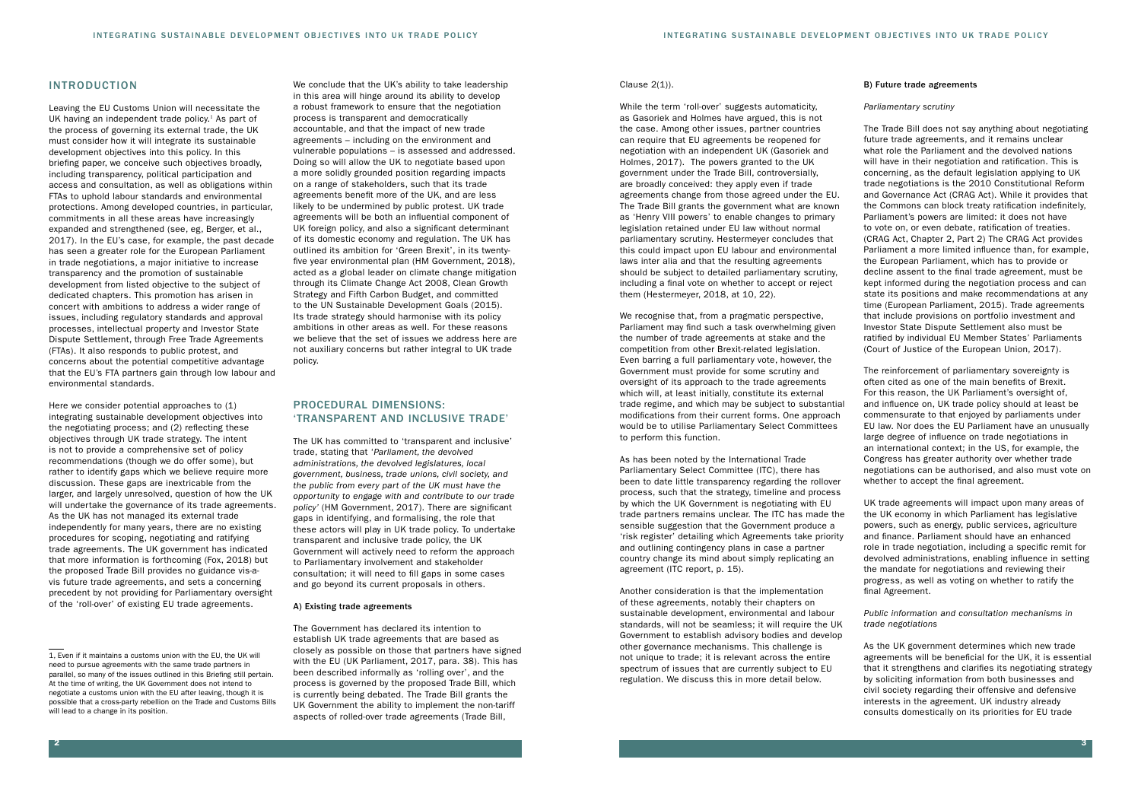We conclude that the UK's ability to take leadership in this area will hinge around its ability to develop a robust framework to ensure that the negotiation process is transparent and democratically accountable, and that the impact of new trade agreements – including on the environment and vulnerable populations – is assessed and addressed. Doing so will allow the UK to negotiate based upon a more solidly grounded position regarding impacts on a range of stakeholders, such that its trade agreements benefit more of the UK, and are less likely to be undermined by public protest. UK trade agreements will be both an influential component of UK foreign policy, and also a significant determinant of its domestic economy and regulation. The UK has outlined its ambition for 'Green Brexit', in its twentyfive year environmental plan (HM Government, 2018), acted as a global leader on climate change mitigation through its Climate Change Act 2008, Clean Growth Strategy and Fifth Carbon Budget, and committed to the UN Sustainable Development Goals (2015). Its trade strategy should harmonise with its policy ambitions in other areas as well. For these reasons we believe that the set of issues we address here are not auxiliary concerns but rather integral to UK trade policy.

## PROCEDURAL DIMENSIONS: 'TRANSPARENT AND INCLUSIVE TRADE'

The UK has committed to 'transparent and inclusive' trade, stating that '*Parliament, the devolved administrations, the devolved legislatures, local government, business, trade unions, civil society, and the public from every part of the UK must have the opportunity to engage with and contribute to our trade policy'* (HM Government, 2017). There are significant gaps in identifying, and formalising, the role that these actors will play in UK trade policy. To undertake transparent and inclusive trade policy, the UK Government will actively need to reform the approach to Parliamentary involvement and stakeholder consultation; it will need to fill gaps in some cases and go beyond its current proposals in others.

#### A) Existing trade agreements

The Government has declared its intention to establish UK trade agreements that are based as closely as possible on those that partners have signed with the EU (UK Parliament, 2017, para. 38). This has been described informally as 'rolling over', and the process is governed by the proposed Trade Bill, which is currently being debated. The Trade Bill grants the UK Government the ability to implement the non-tariff aspects of rolled-over trade agreements (Trade Bill,

#### B) Future trade agreements

#### *Parliamentary scrutiny*

The Trade Bill does not say anything about negotiating future trade agreements, and it remains unclear what role the Parliament and the devolved nations will have in their negotiation and ratification. This is concerning, as the default legislation applying to UK trade negotiations is the 2010 Constitutional Reform and Governance Act (CRAG Act). While it provides that the Commons can block treaty ratification indefinitely, Parliament's powers are limited: it does not have to vote on, or even debate, ratification of treaties. (CRAG Act, Chapter 2, Part 2) The CRAG Act provides Parliament a more limited influence than, for example, the European Parliament, which has to provide or decline assent to the final trade agreement, must be kept informed during the negotiation process and can state its positions and make recommendations at any time (European Parliament, 2015). Trade agreements that include provisions on portfolio investment and Investor State Dispute Settlement also must be ratified by individual EU Member States' Parliaments (Court of Justice of the European Union, 2017).

The reinforcement of parliamentary sovereignty is often cited as one of the main benefits of Brexit. For this reason, the UK Parliament's oversight of, and influence on, UK trade policy should at least be commensurate to that enjoyed by parliaments under EU law. Nor does the EU Parliament have an unusually large degree of influence on trade negotiations in an international context; in the US, for example, the Congress has greater authority over whether trade negotiations can be authorised, and also must vote on whether to accept the final agreement.

UK trade agreements will impact upon many areas of the UK economy in which Parliament has legislative powers, such as energy, public services, agriculture and finance. Parliament should have an enhanced role in trade negotiation, including a specific remit for devolved administrations, enabling influence in setting the mandate for negotiations and reviewing their progress, as well as voting on whether to ratify the final Agreement.

#### *Public information and consultation mechanisms in trade negotiations*

Here we consider potential approaches to  $(1)$ integrating sustainable development objectives into the negotiating process; and (2) reflecting these objectives through UK trade strategy. The intent is not to provide a comprehensive set of policy recommendations (though we do offer some), but rather to identify gaps which we believe require more discussion. These gaps are inextricable from the larger, and largely unresolved, question of how the UK will undertake the governance of its trade agreements. As the UK has not managed its external trade independently for many years, there are no existing procedures for scoping, negotiating and ratifying trade agreements. The UK government has indicated that more information is forthcoming (Fox, 2018) but the proposed Trade Bill provides no guidance vis-avis future trade agreements, and sets a concerning precedent by not providing for Parliamentary oversight of the 'roll-over' of existing EU trade agreements.

> As the UK government determines which new trade agreements will be beneficial for the UK, it is essential that it strengthens and clarifies its negotiating strategy by soliciting information from both businesses and civil society regarding their offensive and defensive interests in the agreement. UK industry already consults domestically on its priorities for EU trade

#### Clause 2(1)).

While the term 'roll-over' suggests automaticity, as Gasoriek and Holmes have argued, this is not the case. Among other issues, partner countries can require that EU agreements be reopened for negotiation with an independent UK (Gasoriek and Holmes, 2017). The powers granted to the UK government under the Trade Bill, controversially, are broadly conceived: they apply even if trade agreements change from those agreed under the EU. The Trade Bill grants the government what are known as 'Henry VIII powers' to enable changes to primary legislation retained under EU law without normal parliamentary scrutiny. Hestermeyer concludes that this could impact upon EU labour and environmental laws inter alia and that the resulting agreements should be subject to detailed parliamentary scrutiny, including a final vote on whether to accept or reject them (Hestermeyer, 2018, at 10, 22).

We recognise that, from a pragmatic perspective, Parliament may find such a task overwhelming given the number of trade agreements at stake and the competition from other Brexit-related legislation. Even barring a full parliamentary vote, however, the Government must provide for some scrutiny and oversight of its approach to the trade agreements which will, at least initially, constitute its external trade regime, and which may be subject to substantial modifications from their current forms. One approach would be to utilise Parliamentary Select Committees to perform this function.

As has been noted by the International Trade Parliamentary Select Committee (ITC), there has been to date little transparency regarding the rollover process, such that the strategy, timeline and process by which the UK Government is negotiating with EU trade partners remains unclear. The ITC has made the sensible suggestion that the Government produce a 'risk register' detailing which Agreements take priority and outlining contingency plans in case a partner country change its mind about simply replicating an agreement (ITC report, p. 15).

Another consideration is that the implementation of these agreements, notably their chapters on sustainable development, environmental and labour standards, will not be seamless; it will require the UK Government to establish advisory bodies and develop other governance mechanisms. This challenge is not unique to trade; it is relevant across the entire spectrum of issues that are currently subject to EU regulation. We discuss this in more detail below.

#### INTRODUCTION

Leaving the EU Customs Union will necessitate the UK having an independent trade policy.<sup>1</sup> As part of the process of governing its external trade, the UK must consider how it will integrate its sustainable development objectives into this policy. In this briefing paper, we conceive such objectives broadly, including transparency, political participation and access and consultation, as well as obligations within FTAs to uphold labour standards and environmental protections. Among developed countries, in particular, commitments in all these areas have increasingly expanded and strengthened (see, eg, Berger, et al., 2017). In the EU's case, for example, the past decade has seen a greater role for the European Parliament in trade negotiations, a major initiative to increase transparency and the promotion of sustainable development from listed objective to the subject of dedicated chapters. This promotion has arisen in concert with ambitions to address a wider range of issues, including regulatory standards and approval processes, intellectual property and Investor State Dispute Settlement, through Free Trade Agreements (FTAs). It also responds to public protest, and concerns about the potential competitive advantage that the EU's FTA partners gain through low labour and environmental standards.

<sup>1,</sup> Even if it maintains a customs union with the EU, the UK will need to pursue agreements with the same trade partners in parallel, so many of the issues outlined in this Briefing still pertain. At the time of writing, the UK Government does not intend to negotiate a customs union with the EU after leaving, though it is possible that a cross-party rebellion on the Trade and Customs Bills will lead to a change in its position.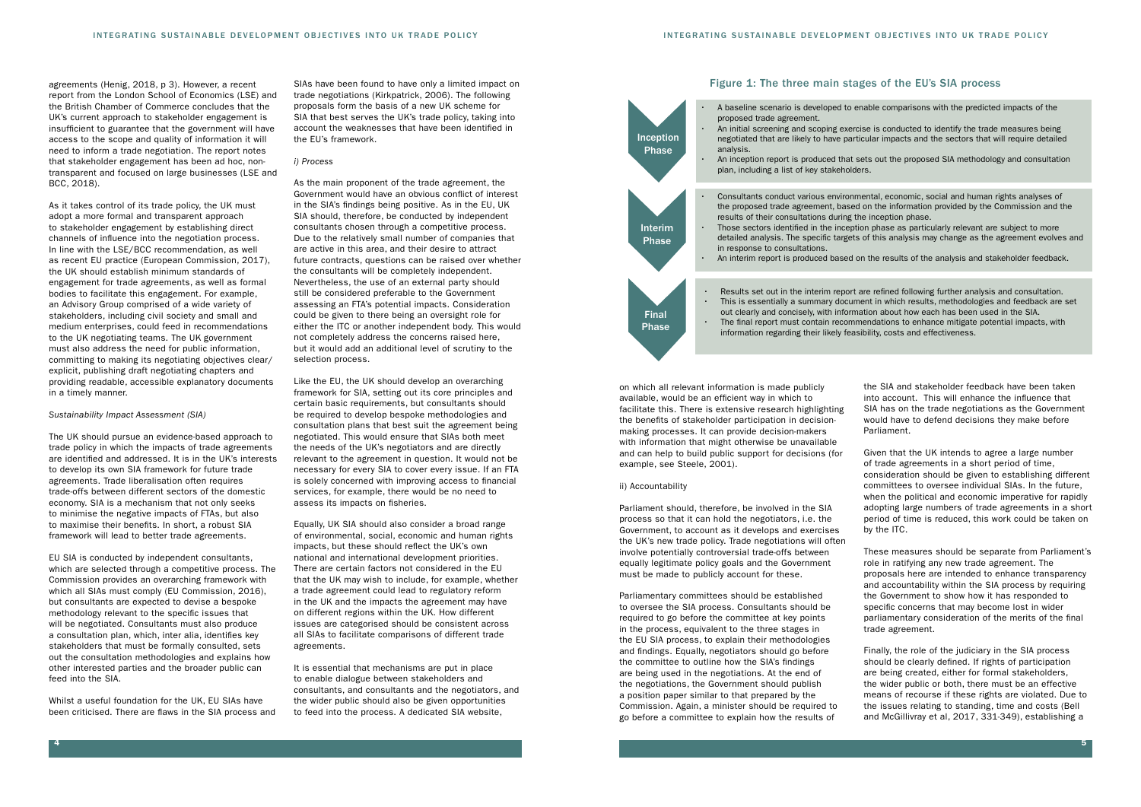SIAs have been found to have only a limited impact on trade negotiations (Kirkpatrick, 2006). The following proposals form the basis of a new UK scheme for SIA that best serves the UK's trade policy, taking into account the weaknesses that have been identified in the EU's framework.

#### *i) Process*

As the main proponent of the trade agreement, the Government would have an obvious conflict of interest in the SIA's findings being positive. As in the EU, UK SIA should, therefore, be conducted by independent consultants chosen through a competitive process. Due to the relatively small number of companies that are active in this area, and their desire to attract future contracts, questions can be raised over whether the consultants will be completely independent. Nevertheless, the use of an external party should still be considered preferable to the Government assessing an FTA's potential impacts. Consideration could be given to there being an oversight role for either the ITC or another independent body. This would not completely address the concerns raised here, but it would add an additional level of scrutiny to the selection process.

Like the EU, the UK should develop an overarching framework for SIA, setting out its core principles and certain basic requirements, but consultants should be required to develop bespoke methodologies and consultation plans that best suit the agreement being negotiated. This would ensure that SIAs both meet the needs of the UK's negotiators and are directly relevant to the agreement in question. It would not be necessary for every SIA to cover every issue. If an FTA is solely concerned with improving access to financial services, for example, there would be no need to assess its impacts on fisheries.

Equally, UK SIA should also consider a broad range of environmental, social, economic and human rights impacts, but these should reflect the UK's own national and international development priorities. There are certain factors not considered in the EU that the UK may wish to include, for example, whether a trade agreement could lead to regulatory reform in the UK and the impacts the agreement may have on different regions within the UK. How different issues are categorised should be consistent across all SIAs to facilitate comparisons of different trade agreements.

It is essential that mechanisms are put in place to enable dialogue between stakeholders and consultants, and consultants and the negotiators, and the wider public should also be given opportunities to feed into the process. A dedicated SIA website,

agreements (Henig, 2018, p 3). However, a recent report from the London School of Economics (LSE) and the British Chamber of Commerce concludes that the UK's current approach to stakeholder engagement is insufficient to guarantee that the government will have access to the scope and quality of information it will need to inform a trade negotiation. The report notes that stakeholder engagement has been ad hoc, nontransparent and focused on large businesses (LSE and BCC, 2018).

As it takes control of its trade policy, the UK must adopt a more formal and transparent approach to stakeholder engagement by establishing direct channels of influence into the negotiation process. In line with the LSE/BCC recommendation, as well as recent EU practice (European Commission, 2017), the UK should establish minimum standards of engagement for trade agreements, as well as formal bodies to facilitate this engagement. For example, an Advisory Group comprised of a wide variety of stakeholders, including civil society and small and medium enterprises, could feed in recommendations to the UK negotiating teams. The UK government must also address the need for public information, committing to making its negotiating objectives clear/ explicit, publishing draft negotiating chapters and providing readable, accessible explanatory documents in a timely manner.

#### *Sustainability Impact Assessment (SIA)*

The UK should pursue an evidence-based approach to trade policy in which the impacts of trade agreements are identified and addressed. It is in the UK's interests to develop its own SIA framework for future trade agreements. Trade liberalisation often requires trade-offs between different sectors of the domestic economy. SIA is a mechanism that not only seeks to minimise the negative impacts of FTAs, but also to maximise their benefits. In short, a robust SIA framework will lead to better trade agreements.

EU SIA is conducted by independent consultants, which are selected through a competitive process. The Commission provides an overarching framework with which all SIAs must comply (EU Commission, 2016), but consultants are expected to devise a bespoke methodology relevant to the specific issues that will be negotiated. Consultants must also produce a consultation plan, which, inter alia, identifies key stakeholders that must be formally consulted, sets out the consultation methodologies and explains how other interested parties and the broader public can feed into the SIA.

Whilst a useful foundation for the UK, EU SIAs have been criticised. There are flaws in the SIA process and

on which all relevant information is made publicly available, would be an efficient way in which to facilitate this. There is extensive research highlighting the benefits of stakeholder participation in decisionmaking processes. It can provide decision-makers with information that might otherwise be unavailable and can help to build public support for decisions (for example, see Steele, 2001).

#### ii) Accountability

Parliament should, therefore, be involved in the SIA process so that it can hold the negotiators, i.e. the Government, to account as it develops and exercises the UK's new trade policy. Trade negotiations will often involve potentially controversial trade-offs between equally legitimate policy goals and the Government must be made to publicly account for these.

Parliamentary committees should be established to oversee the SIA process. Consultants should be required to go before the committee at key points in the process, equivalent to the three stages in the EU SIA process, to explain their methodologies and findings. Equally, negotiators should go before the committee to outline how the SIA's findings are being used in the negotiations. At the end of the negotiations, the Government should publish a position paper similar to that prepared by the Commission. Again, a minister should be required to go before a committee to explain how the results of

#### Figure 1: The three main stages of the EU's SIA process

the SIA and stakeholder feedback have been taken into account. This will enhance the influence that SIA has on the trade negotiations as the Government would have to defend decisions they make before Parliament.

Given that the UK intends to agree a large number of trade agreements in a short period of time, consideration should be given to establishing different committees to oversee individual SIAs. In the future, when the political and economic imperative for rapidly adopting large numbers of trade agreements in a short period of time is reduced, this work could be taken on by the ITC.

These measures should be separate from Parliament's role in ratifying any new trade agreement. The proposals here are intended to enhance transparency and accountability within the SIA process by requiring the Government to show how it has responded to specific concerns that may become lost in wider parliamentary consideration of the merits of the final trade agreement.

Finally, the role of the judiciary in the SIA process should be clearly defined. If rights of participation are being created, either for formal stakeholders, the wider public or both, there must be an effective means of recourse if these rights are violated. Due to the issues relating to standing, time and costs (Bell and McGillivray et al, 2017, 331-349), establishing a

• A baseline scenario is developed to enable comparisons with the predicted impacts of the

• An initial screening and scoping exercise is conducted to identify the trade measures being negotiated that are likely to have particular impacts and the sectors that will require detailed

• An inception report is produced that sets out the proposed SIA methodology and consultation

• Consultants conduct various environmental, economic, social and human rights analyses of the proposed trade agreement, based on the information provided by the Commission and the



detailed analysis. The specific targets of this analysis may change as the agreement evolves and

• An interim report is produced based on the results of the analysis and stakeholder feedback.

• This is essentially a summary document in which results, methodologies and feedback are set out clearly and concisely, with information about how each has been used in the SIA. • The final report must contain recommendations to enhance mitigate potential impacts, with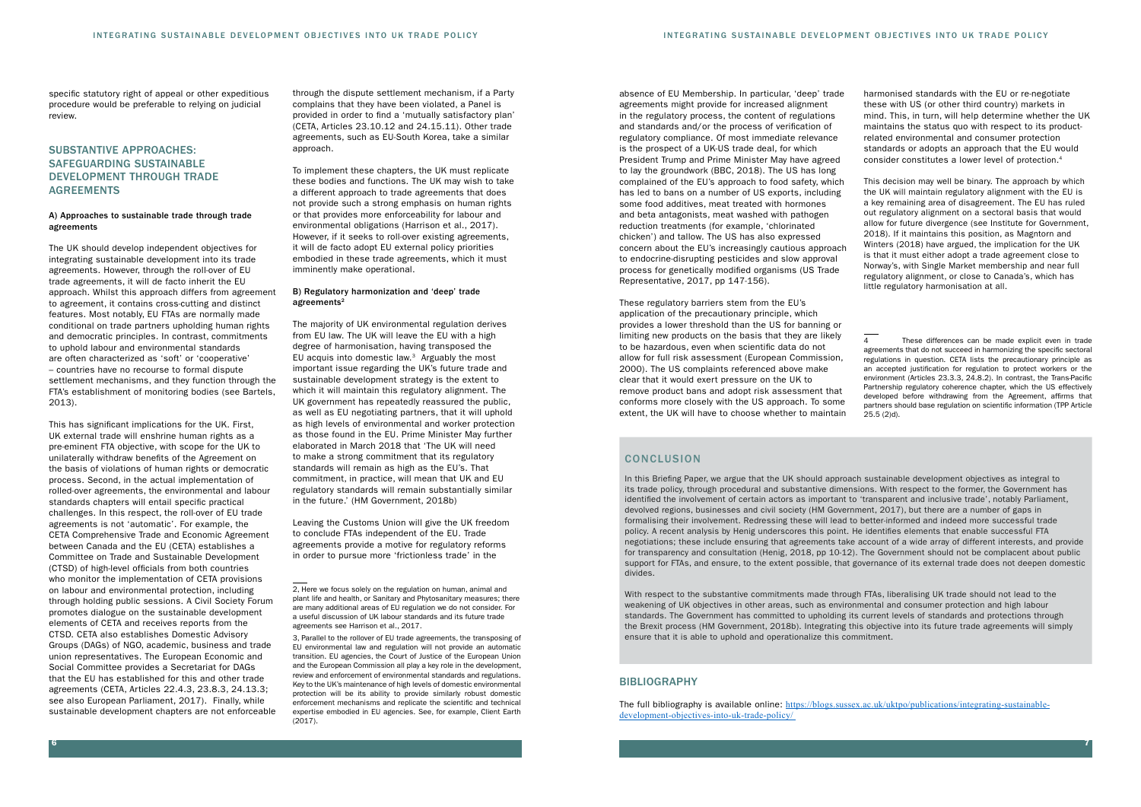absence of EU Membership. In particular, 'deep' trade agreements might provide for increased alignment in the regulatory process, the content of regulations and standards and/or the process of verification of regulatory compliance. Of most immediate relevance is the prospect of a UK-US trade deal, for which President Trump and Prime Minister May have agreed to lay the groundwork (BBC, 2018). The US has long complained of the EU's approach to food safety, which has led to bans on a number of US exports, including some food additives, meat treated with hormones and beta antagonists, meat washed with pathogen reduction treatments (for example, 'chlorinated chicken') and tallow. The US has also expressed concern about the EU's increasingly cautious approach to endocrine-disrupting pesticides and slow approval process for genetically modified organisms (US Trade Representative, 2017, pp 147-156).

These regulatory barriers stem from the EU's application of the precautionary principle, which provides a lower threshold than the US for banning or limiting new products on the basis that they are likely to be hazardous, even when scientific data do not allow for full risk assessment (European Commission, 2000). The US complaints referenced above make clear that it would exert pressure on the UK to remove product bans and adopt risk assessment that conforms more closely with the US approach. To some extent, the UK will have to choose whether to maintain

#### **CONCLUSION**

through the dispute settlement mechanism, if a Party complains that they have been violated, a Panel is provided in order to find a 'mutually satisfactory plan' (CETA, Articles 23.10.12 and 24.15.11). Other trade agreements, such as EU-South Korea, take a similar approach

harmonised standards with the EU or re-negotiate these with US (or other third country) markets in mind. This, in turn, will help determine whether the UK maintains the status quo with respect to its productrelated environmental and consumer protection standards or adopts an approach that the EU would consider constitutes a lower level of protection.4

#### B) Regulatory harmonization and 'deep' trade agreements<sup>2</sup>

This decision may well be binary. The approach by which the UK will maintain regulatory alignment with the EU is a key remaining area of disagreement. The EU has ruled out regulatory alignment on a sectoral basis that would allow for future divergence (see Institute for Government, 2018). If it maintains this position, as Magntorn and Winters (2018) have argued, the implication for the UK is that it must either adopt a trade agreement close to Norway's, with Single Market membership and near full regulatory alignment, or close to Canada's, which has little regulatory harmonisation at all.

4 These differences can be made explicit even in trade agreements that do not succeed in harmonizing the specific sectoral regulations in question. CETA lists the precautionary principle as an accepted justification for regulation to protect workers or the environment (Articles 23.3.3, 24.8.2). In contrast, the Trans-Pacific Partnership regulatory coherence chapter, which the US effectively developed before withdrawing from the Agreement affirms that partners should base regulation on scientific information (TPP Article 25.5 (2)d).

To implement these chapters, the UK must replicate these bodies and functions. The UK may wish to take a different approach to trade agreements that does not provide such a strong emphasis on human rights or that provides more enforceability for labour and environmental obligations (Harrison et al., 2017). However, if it seeks to roll-over existing agreements, it will de facto adopt EU external policy priorities embodied in these trade agreements, which it must imminently make operational.

The majority of UK environmental regulation derives from EU law. The UK will leave the EU with a high degree of harmonisation, having transposed the EU acquis into domestic law. $3$  Arguably the most important issue regarding the UK's future trade and sustainable development strategy is the extent to which it will maintain this regulatory alignment. The UK government has repeatedly reassured the public, as well as EU negotiating partners, that it will uphold as high levels of environmental and worker protection as those found in the EU. Prime Minister May further elaborated in March 2018 that 'The UK will need to make a strong commitment that its regulatory standards will remain as high as the EU's. That commitment, in practice, will mean that UK and EU regulatory standards will remain substantially similar in the future.' (HM Government, 2018b)

Leaving the Customs Union will give the UK freedom to conclude FTAs independent of the EU. Trade agreements provide a motive for regulatory reforms in order to pursue more 'frictionless trade' in the

> With respect to the substantive commitments made through FTAs, liberalising UK trade should not lead to the weakening of UK objectives in other areas, such as environmental and consumer protection and high labour standards. The Government has committed to upholding its current levels of standards and protections through the Brexit process (HM Government, 2018b). Integrating this objective into its future trade agreements will simply ensure that it is able to uphold and operationalize this commitment.

#### **BIBLIOGRAPHY**

3, Parallel to the rollover of EU trade agreements, the transposing of EU environmental law and regulation will not provide an automatic transition. EU agencies, the Court of Justice of the European Union and the European Commission all play a key role in the development, review and enforcement of environmental standards and regulations. Key to the UK's maintenance of high levels of domestic environmental protection will be its ability to provide similarly robust domestic enforcement mechanisms and replicate the scientific and technical expertise embodied in EU agencies. See, for example, Client Earth (2017).

specific statutory right of appeal or other expeditious procedure would be preferable to relying on judicial review.

## SUBSTANTIVE APPROACHES: SAFEGUARDING SUSTAINABLE DEVELOPMENT THROUGH TRADE AGREEMENTS

#### A) Approaches to sustainable trade through trade agreements

The UK should develop independent objectives for integrating sustainable development into its trade agreements. However, through the roll-over of EU trade agreements, it will de facto inherit the EU approach. Whilst this approach differs from agreement to agreement, it contains cross-cutting and distinct features. Most notably, EU FTAs are normally made conditional on trade partners upholding human rights and democratic principles. In contrast, commitments to uphold labour and environmental standards are often characterized as 'soft' or 'cooperative' – countries have no recourse to formal dispute settlement mechanisms, and they function through the FTA's establishment of monitoring bodies (see Bartels, 2013).

This has significant implications for the UK. First, UK external trade will enshrine human rights as a pre-eminent FTA objective, with scope for the UK to unilaterally withdraw benefits of the Agreement on the basis of violations of human rights or democratic process. Second, in the actual implementation of rolled-over agreements, the environmental and labour standards chapters will entail specific practical challenges. In this respect, the roll-over of EU trade agreements is not 'automatic'. For example, the CETA Comprehensive Trade and Economic Agreement between Canada and the EU (CETA) establishes a Committee on Trade and Sustainable Development (CTSD) of high-level officials from both countries who monitor the implementation of CETA provisions on labour and environmental protection, including through holding public sessions. A Civil Society Forum promotes dialogue on the sustainable development elements of CETA and receives reports from the CTSD. CETA also establishes Domestic Advisory Groups (DAGs) of NGO, academic, business and trade union representatives. The European Economic and Social Committee provides a Secretariat for DAGs that the EU has established for this and other trade agreements (CETA, Articles 22.4.3, 23.8.3, 24.13.3; see also European Parliament, 2017). Finally, while sustainable development chapters are not enforceable

In this Briefing Paper, we argue that the UK should approach sustainable development objectives as integral to its trade policy, through procedural and substantive dimensions. With respect to the former, the Government has identified the involvement of certain actors as important to 'transparent and inclusive trade', notably Parliament, devolved regions, businesses and civil society (HM Government, 2017), but there are a number of gaps in formalising their involvement. Redressing these will lead to better-informed and indeed more successful trade policy. A recent analysis by Henig underscores this point. He identifies elements that enable successful FTA negotiations; these include ensuring that agreements take account of a wide array of different interests, and provide for transparency and consultation (Henig, 2018, pp 10-12). The Government should not be complacent about public support for FTAs, and ensure, to the extent possible, that governance of its external trade does not deepen domestic divides.

The full bibliography is available online: [https://blogs.sussex.ac.uk/uktpo/publications/integrating-sustainable](https://blogs.sussex.ac.uk/uktpo/publications/integrating-sustainable-development-objectives-into-uk-trade-policy/ )[development-objectives-into-uk-trade-policy/](https://blogs.sussex.ac.uk/uktpo/publications/integrating-sustainable-development-objectives-into-uk-trade-policy/ ) 

<sup>2,</sup> Here we focus solely on the regulation on human, animal and plant life and health, or Sanitary and Phytosanitary measures; there are many additional areas of EU regulation we do not consider. For a useful discussion of UK labour standards and its future trade agreements see Harrison et al., 2017.